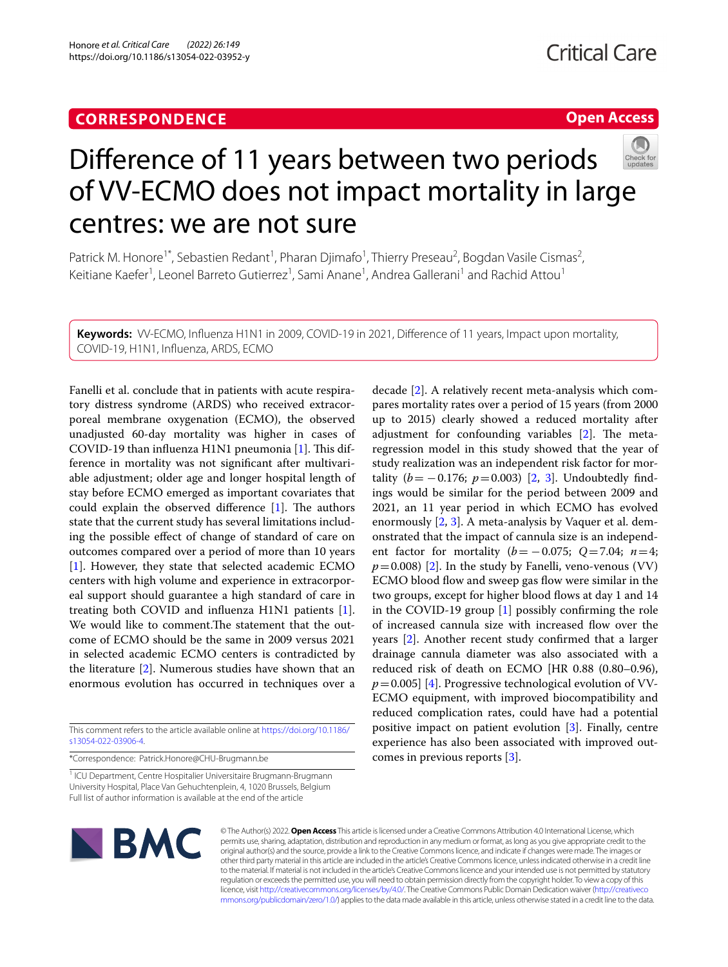# **CORRESPONDENCE**

# **Open Access**



# Diference of 11 years between two periods of VV-ECMO does not impact mortality in large centres: we are not sure

Patrick M. Honore<sup>1\*</sup>, Sebastien Redant<sup>1</sup>, Pharan Djimafo<sup>1</sup>, Thierry Preseau<sup>2</sup>, Bogdan Vasile Cismas<sup>2</sup>, Keitiane Kaefer<sup>1</sup>, Leonel Barreto Gutierrez<sup>1</sup>, Sami Anane<sup>1</sup>, Andrea Gallerani<sup>1</sup> and Rachid Attou<sup>1</sup>

**Keywords:** VV-ECMO, Infuenza H1N1 in 2009, COVID-19 in 2021, Diference of 11 years, Impact upon mortality, COVID-19, H1N1, Infuenza, ARDS, ECMO

Fanelli et al. conclude that in patients with acute respiratory distress syndrome (ARDS) who received extracorporeal membrane oxygenation (ECMO), the observed unadjusted 60-day mortality was higher in cases of COVID-19 than influenza  $H1N1$  pneumonia [[1\]](#page-2-0). This difference in mortality was not signifcant after multivariable adjustment; older age and longer hospital length of stay before ECMO emerged as important covariates that could explain the observed difference  $[1]$  $[1]$ . The authors state that the current study has several limitations including the possible efect of change of standard of care on outcomes compared over a period of more than 10 years [[1\]](#page-2-0). However, they state that selected academic ECMO centers with high volume and experience in extracorporeal support should guarantee a high standard of care in treating both COVID and infuenza H1N1 patients [\[1](#page-2-0)]. We would like to comment. The statement that the outcome of ECMO should be the same in 2009 versus 2021 in selected academic ECMO centers is contradicted by the literature [[2\]](#page-2-1). Numerous studies have shown that an enormous evolution has occurred in techniques over a

This comment refers to the article available online at [https://doi.org/10.1186/](https://doi.org/10.1186/s13054-022-03906-4) [s13054-022-03906-4](https://doi.org/10.1186/s13054-022-03906-4).

\*Correspondence: Patrick.Honore@CHU-Brugmann.be

<sup>1</sup> ICU Department, Centre Hospitalier Universitaire Brugmann-Brugmann University Hospital, Place Van Gehuchtenplein, 4, 1020 Brussels, Belgium Full list of author information is available at the end of the article

decade [\[2](#page-2-1)]. A relatively recent meta-analysis which compares mortality rates over a period of 15 years (from 2000 up to 2015) clearly showed a reduced mortality after adjustment for confounding variables  $[2]$ . The metaregression model in this study showed that the year of study realization was an independent risk factor for mortality  $(b = -0.176; p = 0.003)$  $(b = -0.176; p = 0.003)$  $(b = -0.176; p = 0.003)$  [[2,](#page-2-1) 3]. Undoubtedly findings would be similar for the period between 2009 and 2021, an 11 year period in which ECMO has evolved enormously  $[2, 3]$  $[2, 3]$  $[2, 3]$ . A meta-analysis by Vaquer et al. demonstrated that the impact of cannula size is an independent factor for mortality  $(b = -0.075; Q = 7.04; n = 4;$  $p=0.008$ ) [\[2](#page-2-1)]. In the study by Fanelli, veno-venous (VV) ECMO blood flow and sweep gas flow were similar in the two groups, except for higher blood flows at day 1 and 14 in the COVID-19 group [\[1\]](#page-2-0) possibly confrming the role of increased cannula size with increased fow over the years [[2\]](#page-2-1). Another recent study confrmed that a larger drainage cannula diameter was also associated with a reduced risk of death on ECMO [HR 0.88 (0.80–0.96),  $p=0.005$ ] [[4\]](#page-2-3). Progressive technological evolution of VV-ECMO equipment, with improved biocompatibility and reduced complication rates, could have had a potential positive impact on patient evolution [[3\]](#page-2-2). Finally, centre experience has also been associated with improved outcomes in previous reports [\[3](#page-2-2)].



© The Author(s) 2022. **Open Access** This article is licensed under a Creative Commons Attribution 4.0 International License, which permits use, sharing, adaptation, distribution and reproduction in any medium or format, as long as you give appropriate credit to the original author(s) and the source, provide a link to the Creative Commons licence, and indicate if changes were made. The images or other third party material in this article are included in the article's Creative Commons licence, unless indicated otherwise in a credit line to the material. If material is not included in the article's Creative Commons licence and your intended use is not permitted by statutory regulation or exceeds the permitted use, you will need to obtain permission directly from the copyright holder. To view a copy of this licence, visit [http://creativecommons.org/licenses/by/4.0/.](http://creativecommons.org/licenses/by/4.0/) The Creative Commons Public Domain Dedication waiver ([http://creativeco](http://creativecommons.org/publicdomain/zero/1.0/) [mmons.org/publicdomain/zero/1.0/](http://creativecommons.org/publicdomain/zero/1.0/)) applies to the data made available in this article, unless otherwise stated in a credit line to the data.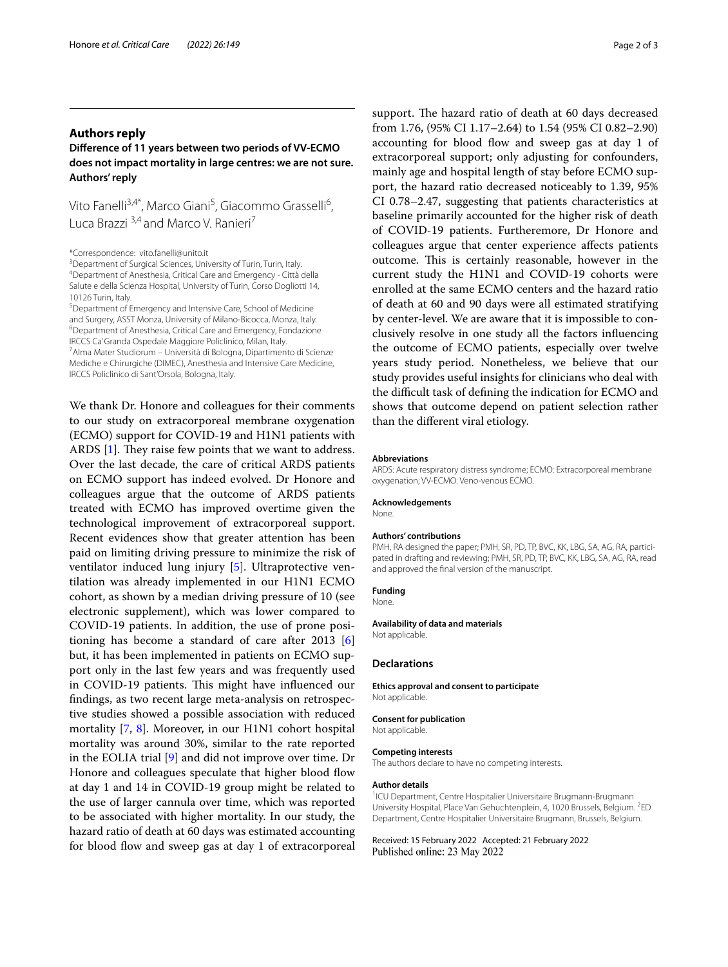# **Authors reply**

# **Diference of 11 years between two periods of VV‑ECMO does not impact mortality in large centres: we are not sure. Authors' reply**

Vito Fanelli<sup>3,4\*</sup>, Marco Giani<sup>5</sup>, Giacommo Grasselli<sup>6</sup>, Luca Brazzi<sup>3,4</sup> and Marco V. Ranieri<sup>7</sup>

\*Correspondence: vito.fanelli@unito.it

<sup>3</sup> Department of Surgical Sciences, University of Turin, Turin, Italy.<br><sup>4</sup> Department of Anesthesia, Critical Care and Emergency - Città c Department of Anesthesia, Critical Care and Emergency - Città della Salute e della Scienza Hospital, University of Turin, Corso Dogliotti 14, 10126 Turin, Italy.

Department of Emergency and Intensive Care, School of Medicine and Surgery, ASST Monza, University of Milano-Bicocca, Monza, Italy. Department of Anesthesia, Critical Care and Emergency, Fondazione IRCCS Ca' Granda Ospedale Maggiore Policlinico, Milan, Italy.

7 Alma Mater Studiorum – Università di Bologna, Dipartimento di Scienze Mediche e Chirurgiche (DIMEC), Anesthesia and Intensive Care Medicine, IRCCS Policlinico di Sant'Orsola, Bologna, Italy.

We thank Dr. Honore and colleagues for their comments to our study on extracorporeal membrane oxygenation (ECMO) support for COVID-19 and H1N1 patients with ARDS  $[1]$  $[1]$ . They raise few points that we want to address. Over the last decade, the care of critical ARDS patients on ECMO support has indeed evolved. Dr Honore and colleagues argue that the outcome of ARDS patients treated with ECMO has improved overtime given the technological improvement of extracorporeal support. Recent evidences show that greater attention has been paid on limiting driving pressure to minimize the risk of ventilator induced lung injury [\[5](#page-2-4)]. Ultraprotective ventilation was already implemented in our H1N1 ECMO cohort, as shown by a median driving pressure of 10 (see electronic supplement), which was lower compared to COVID-19 patients. In addition, the use of prone positioning has become a standard of care after 2013 [\[6](#page-2-5)] but, it has been implemented in patients on ECMO support only in the last few years and was frequently used in COVID-19 patients. This might have influenced our fndings, as two recent large meta-analysis on retrospective studies showed a possible association with reduced mortality [\[7](#page-2-6), [8](#page-2-7)]. Moreover, in our H1N1 cohort hospital mortality was around 30%, similar to the rate reported in the EOLIA trial [[9\]](#page-2-8) and did not improve over time. Dr Honore and colleagues speculate that higher blood flow at day 1 and 14 in COVID-19 group might be related to the use of larger cannula over time, which was reported to be associated with higher mortality. In our study, the hazard ratio of death at 60 days was estimated accounting for blood fow and sweep gas at day 1 of extracorporeal

support. The hazard ratio of death at 60 days decreased from 1.76, (95% CI 1.17–2.64) to 1.54 (95% CI 0.82–2.90) accounting for blood flow and sweep gas at day 1 of extracorporeal support; only adjusting for confounders, mainly age and hospital length of stay before ECMO support, the hazard ratio decreased noticeably to 1.39, 95% CI 0.78–2.47, suggesting that patients characteristics at baseline primarily accounted for the higher risk of death of COVID-19 patients. Furtheremore, Dr Honore and colleagues argue that center experience afects patients outcome. This is certainly reasonable, however in the current study the H1N1 and COVID-19 cohorts were enrolled at the same ECMO centers and the hazard ratio of death at 60 and 90 days were all estimated stratifying by center-level. We are aware that it is impossible to conclusively resolve in one study all the factors infuencing the outcome of ECMO patients, especially over twelve years study period. Nonetheless, we believe that our study provides useful insights for clinicians who deal with the difficult task of defining the indication for ECMO and shows that outcome depend on patient selection rather than the diferent viral etiology.

#### **Abbreviations**

ARDS: Acute respiratory distress syndrome; ECMO: Extracorporeal membrane oxygenation; VV-ECMO: Veno-venous ECMO.

#### **Acknowledgements**

None.

#### **Authors' contributions**

PMH, RA designed the paper; PMH, SR, PD, TP, BVC, KK, LBG, SA, AG, RA, participated in drafting and reviewing; PMH, SR, PD, TP, BVC, KK, LBG, SA, AG, RA, read and approved the fnal version of the manuscript.

#### **Funding**

None.

# **Availability of data and materials**

Not applicable.

#### **Declarations**

**Ethics approval and consent to participate** Not applicable.

### **Consent for publication**

Not applicable.

#### **Competing interests**

The authors declare to have no competing interests.

#### **Author details**

<sup>1</sup>ICU Department, Centre Hospitalier Universitaire Brugmann-Brugmann University Hospital, Place Van Gehuchtenplein, 4, 1020 Brussels, Belgium. <sup>2</sup>ED Department, Centre Hospitalier Universitaire Brugmann, Brussels, Belgium.

Received: 15 February 2022 Accepted: 21 February 2022Published online: 23 May 2022